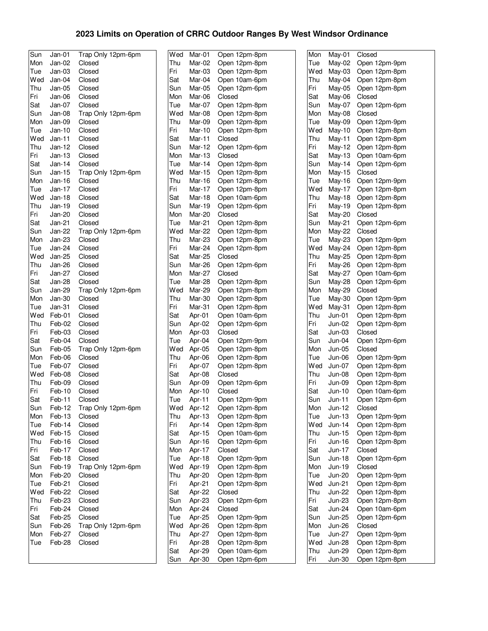## **2023 Limits on Operation of CRRC Outdoor Ranges By West Windsor Ordinance**

| Sun | Jan-01        | Trap Only 12pm-6pm | Wed            | Mar-01   | Open 12pm-8pm | Mon  | May-01        | Closed        |
|-----|---------------|--------------------|----------------|----------|---------------|------|---------------|---------------|
| Mon | Jan-02        | Closed             | Thu            | Mar-02   | Open 12pm-8pm | Tue  | May-02        | Open 12pm-9pm |
| Tue | $Jan-03$      | Closed             | Fri            | Mar-03   | Open 12pm-8pm | Wed  | $Mav-03$      | Open 12pm-8pm |
| Wed | Jan-04        | Closed             | Sat            | Mar-04   | Open 10am-6pm | Thu  | May-04        | Open 12pm-8pm |
| Thu | $Jan-05$      | Closed             | Sun            | Mar-05   | Open 12pm-6pm | Fri  | May-05        | Open 12pm-8pm |
| Fri | Jan-06        | Closed             | Mon            | Mar-06   | Closed        | Sat  | May-06        | Closed        |
| Sat | Jan-07        | Closed             | Tue            | Mar-07   | Open 12pm-8pm | Sun  | May-07        | Open 12pm-6pm |
| Sun | Jan-08        | Trap Only 12pm-6pm | Wed            | Mar-08   | Open 12pm-8pm | Mon  | May-08        | Closed        |
| Mon | Jan-09        | Closed             | Thu            | Mar-09   | Open 12pm-8pm | Tue  | May-09        | Open 12pm-9pm |
| Tue | $Jan-10$      | Closed             | Fri            | Mar-10   | Open 12pm-8pm | W ed | May-10        | Open 12pm-8pm |
| Wed | $Jan-11$      | Closed             | Sat            | Mar-11   | Closed        | Thu  | May-11        | Open 12pm-8pm |
| Thu | Jan-12        | Closed             | Sun            | Mar-12   | Open 12pm-6pm | Fri  | May-12        | Open 12pm-8pm |
| Fri | $Jan-13$      | Closed             | Mon            | $Mar-13$ | Closed        | Sat  | $May-13$      | Open 10am-6pm |
| Sat | Jan-14        | Closed             | Tue            | Mar-14   | Open 12pm-8pm | Sun  | May-14        | Open 12pm-6pm |
| Sun | Jan-15        | Trap Only 12pm-6pm | Wed            | Mar-15   | Open 12pm-8pm | Mon  | May-15        | Closed        |
| Mon | Jan-16        | Closed             | Thu            | Mar-16   | Open 12pm-8pm | Tue  | May-16        | Open 12pm-9pm |
| Tue | Jan-17        | Closed             | Fri            | Mar-17   | Open 12pm-8pm | Wed  | May-17        | Open 12pm-8pm |
| Wed | $Jan-18$      | Closed             | Sat            | Mar-18   | Open 10am-6pm | Thu  | May-18        | Open 12pm-8pm |
| Thu | Jan-19        | Closed             | Sun            | Mar-19   | Open 12pm-6pm | Fri  | May-19        | Open 12pm-8pm |
| Fri | Jan-20        | Closed             | Mon            | Mar-20   | Closed        | Sat  | May-20        | Closed        |
| Sat | Jan-21        | Closed             | Tue            | Mar-21   | Open 12pm-8pm | Sun  | May-21        | Open 12pm-6pm |
| Sun | Jan-22        | Trap Only 12pm-6pm | Wed            | Mar-22   | Open 12pm-8pm | Mon  | May-22        | Closed        |
| Mon | Jan-23        | Closed             | Thu            | Mar-23   | Open 12pm-8pm | Tue  | May-23        | Open 12pm-9pm |
| Tue | Jan-24        | Closed             | Fri            | Mar-24   | Open 12pm-8pm | Wed  | $May-24$      | Open 12pm-8pm |
| Wed | Jan-25        | Closed             | Sat            | Mar-25   | Closed        | Thu  | May-25        | Open 12pm-8pm |
| Thu | Jan-26        | Closed             | Sun            | Mar-26   | Open 12pm-6pm | Fri  | May-26        | Open 12pm-8pm |
| Fri | <b>Jan-27</b> | Closed             | Mon            | Mar-27   | Closed        | Sat  | May-27        | Open 10am-6pm |
| Sat | Jan-28        | Closed             | Tue            | Mar-28   | Open 12pm-8pm | Sun  | May-28        | Open 12pm-6pm |
| Sun | Jan-29        | Trap Only 12pm-6pm | Wed            | Mar-29   | Open 12pm-8pm | Mon  | May-29        | Closed        |
| Mon | $Jan-30$      | Closed             | Thu            | Mar-30   | Open 12pm-8pm | Tue  | May-30        | Open 12pm-9pm |
| Tue | Jan-31        | Closed             | Fri            | Mar-31   | Open 12pm-8pm | W ed | May-31        | Open 12pm-8pm |
| Wed | Feb-01        | Closed             | Sat            | Apr-01   | Open 10am-6pm | Thu  | $Jun-01$      | Open 12pm-8pm |
| Thu | Feb-02        | Closed             | Sun            | Apr-02   | Open 12pm-6pm | Fri  | Jun-02        | Open 12pm-8pm |
| Fri | Feb-03        | Closed             | Mon            | Apr-03   | Closed        | Sat  | $Jun-03$      | Closed        |
| Sat | Feb-04        | Closed             | Tue            | Apr-04   | Open 12pm-9pm | Sun  | $Jun-04$      | Open 12pm-6pm |
| Sun | Feb-05        | Trap Only 12pm-6pm | Wed            | Apr-05   | Open 12pm-8pm | Mon  | Jun-05        | Closed        |
| Mon | Feb-06        | Closed             | Thu            | Apr-06   | Open 12pm-8pm | Tue  | Jun-06        | Open 12pm-9pm |
| Tue | Feb-07        | Closed             | Fri            | Apr-07   | Open 12pm-8pm | Wed  | Jun-07        | Open 12pm-8pm |
| Wed | Feb-08        | Closed             | Sat            | Apr-08   | Closed        | Thu  | <b>Jun-08</b> | Open 12pm-8pm |
| Thu | Feb-09        | Closed             | Sun            | Apr-09   | Open 12pm-6pm | Fri  | Jun-09        | Open 12pm-8pm |
| Fri | Feb-10        | Closed             | Mon            | Apr-10   | Closed        | Sat  | $Jun-10$      | Open 10am-6pm |
| Sat | Feb-11        | Closed             | Tue            | Apr-11   | Open 12pm-9pm | Sun  | $Jun-11$      | Open 12pm-6pm |
| Sun | Feb-12        | Trap Only 12pm-6pm | Wed            | Apr-12   | Open 12pm-8pm | Mon  | Jun-12        | Closed        |
| Mon | Feb-13        | Closed             | Thu            | Apr-13   | Open 12pm-8pm | Tue  | $Jun-13$      | Open 12pm-9pm |
| Tue | Feb-14        | Closed             | Fri            | Apr-14   | Open 12pm-8pm | Wed  | $Jun-14$      | Open 12pm-8pm |
| Wed | Feb-15        | Closed             | Sat            | Apr-15   | Open 10am-6pm | Thu  | Jun-15        | Open 12pm-8pm |
| Thu | Feb-16        | Closed             | Sun            | Apr-16   | Open 12pm-6pm | Fri  | Jun-16        | Open 12pm-8pm |
| Fri | Feb-17        | Closed             | Mon            | Apr-17   | Closed        | Sat  | Jun-17        | Closed        |
| Sat | Feb-18        | Closed             | Tue            | Apr-18   | Open 12pm-9pm | Sun  | $Jun-18$      | Open 12pm-6pm |
| Sun | Feb-19        | Trap Only 12pm-6pm | Wed            | Apr-19   | Open 12pm-8pm | Mon  | Jun-19        | Closed        |
| Mon | Feb-20        | Closed             | Thu            | Apr-20   | Open 12pm-8pm | Tue  | <b>Jun-20</b> | Open 12pm-9pm |
| Tue | Feb-21        | Closed             | Fri            | Apr-21   | Open 12pm-8pm | Wed  | $Jun-21$      | Open 12pm-8pm |
| Wed | Feb-22        | Closed             | Sat            | Apr-22   | Closed        | Thu  | <b>Jun-22</b> | Open 12pm-8pm |
| Thu | Feb-23        | Closed             | Sun            | Apr-23   | Open 12pm-6pm | Fri  | <b>Jun-23</b> | Open 12pm-8pm |
| Fri | Feb-24        | Closed             | Mon            | Apr-24   | Closed        | Sat  | Jun-24        | Open 10am-6pm |
| Sat | Feb-25        | Closed             | Tue            | Apr-25   | Open 12pm-9pm | Sun  | Jun-25        | Open 12pm-6pm |
| Sun | Feb-26        | Trap Only 12pm-6pm | Wed            | Apr-26   | Open 12pm-8pm | Mon  | <b>Jun-26</b> | Closed        |
| Mon | Feb-27        | Closed             | Thu            | Apr-27   | Open 12pm-8pm | Tue  | <b>Jun-27</b> | Open 12pm-9pm |
| Tue | Feb-28        | Closed             | Fri            | Apr-28   | Open 12pm-8pm | Wed  | <b>Jun-28</b> | Open 12pm-8pm |
|     |               |                    | Sat            | Apr-29   | Open 10am-6pm | Thu  | Jun-29        | Open 12pm-8pm |
|     |               |                    | S <sub>1</sub> | Anr-30   | Onen 12nm-6nm | Fri  | . lun-30      | Onen 12nm-8nm |

| Wed        | Mar-01           | Open 12pm-8pm           | Mon        | May-01             | Closed                         |
|------------|------------------|-------------------------|------------|--------------------|--------------------------------|
| Thu        | Mar-02           | Open 12pm-8pm           | Tue        | May-02             | Open 12pm-9pm                  |
| Fri        | Mar-03           | Open 12pm-8pm           | Wed        | May-03             | Open 12pm-8pm                  |
| Sat        | Mar-04           | Open 10am-6pm           | Thu        | May-04             | Open 12pm-8pm                  |
| Sun        | Mar-05           | Open 12pm-6pm           | Fri        | May-05             | Open 12pm-8pm                  |
| Mon        | Mar-06           | Closed                  | Sat        | May-06             | Closed                         |
| Tue        | Mar-07           | Open 12pm-8pm           | Sun        | May-07             | Open 12pm-6pm                  |
| Wed        | Mar-08           | Open 12pm-8pm           | Mon        | May-08             | Closed                         |
| Thu        | Mar-09           | Open 12pm-8pm           | Tue        | May-09             | Open 12pm-9pm                  |
| Fri        | Mar-10           | Open 12pm-8pm           | Wed        | May-10             | Open 12pm-8pm                  |
| Sat        | Mar-11           | Closed                  | Thu        | May-11             | Open 12pm-8pm                  |
| Sun        | Mar-12           | Open 12pm-6pm           | Fri        | May-12             | Open 12pm-8pm                  |
| Mon        | Mar-13           | Closed                  | Sat        | May-13             | Open 10am-6pm                  |
| Tue        | Mar-14           | Open 12pm-8pm           | Sun        | May-14             | Open 12pm-6pm                  |
| Wed        | Mar-15           | Open 12pm-8pm           | Mon        | May-15             | Closed                         |
| Thu        | Mar-16           | Open 12pm-8pm           | Tue        | May-16             | Open 12pm-9pm                  |
| Fri        | Mar-17           | Open 12pm-8pm           | Wed        | May-17             | Open 12pm-8pm                  |
| Sat        | Mar-18           | Open 10am-6pm           | Thu        | May-18             | Open 12pm-8pm                  |
| Sun        | Mar-19           | Open 12pm-6pm           | Fri        | May-19             | Open 12pm-8pm                  |
| Mon        | <b>Mar-20</b>    | Closed                  | Sat        | May-20             | Closed                         |
| Tue        | Mar-21           | Open 12pm-8pm           | Sun        | May-21             | Open 12pm-6pm                  |
| Wed        | Mar-22           | Open 12pm-8pm           | Mon        | May-22             | Closed                         |
| Thu        | Mar-23           | Open 12pm-8pm           | Tue        | May-23             | Open 12pm-9pm                  |
| Fri        | Mar-24           | Open 12pm-8pm           | Wed        | May-24             | Open 12pm-8pm                  |
| Sat        | Mar-25           | Closed                  | Thu        | May-25             | Open 12pm-8pm                  |
| Sun        | Mar-26           | Open 12pm-6pm           | Fri        | May-26             | Open 12pm-8pm                  |
| Mon        | Mar-27           | Closed                  | Sat        | May-27             | Open 10am-6pm                  |
| Tue        | Mar-28           | Open 12pm-8pm           | Sun        | May-28             | Open 12pm-6pm                  |
| Wed        | Mar-29           | Open 12pm-8pm           | Mon        | May-29             | Closed                         |
| Thu        | Mar-30           | Open 12pm-8pm           | Tue        | May-30             | Open 12pm-9pm                  |
| Fri        | Mar-31           | Open 12pm-8pm           | Wed        | May-31             | Open 12pm-8pm                  |
| Sat        | Apr-01           | Open 10am-6pm           | Thu        | Jun-01             | Open 12pm-8pm                  |
| Sun        | Apr-02           | Open 12pm-6pm           | Fri        | Jun-02             | Open 12pm-8pm                  |
| Mon        | Apr-03           | Closed                  | Sat        | $Jun-03$           | Closed                         |
| Tue        | Apr-04           | Open 12pm-9pm           | Sun        | Jun-04             | Open 12pm-6pm                  |
| Wed        | Apr-05           | Open 12pm-8pm           | Mon        | $Jun-05$           | Closed                         |
| Thu        | Apr-06           | Open 12pm-8pm           | Tue        | Jun-06             | Open 12pm-9pm                  |
| Fri        | Apr-07           | Open 12pm-8pm           | Wed        | Jun-07             | Open 12pm-8pm                  |
| Sat        | Apr-08           | Closed<br>Open 12pm-6pm | Thu<br>Fri | Jun-08             | Open 12pm-8pm                  |
| Sun        | Apr-09           | Closed                  | Sat        | Jun-09<br>$Jun-10$ | Open 12pm-8pm<br>Open 10am-6pm |
| Mon<br>Tue | Apr-10<br>Apr-11 | Open 12pm-9pm           | Sun        | $Jun-11$           | Open 12pm-6pm                  |
|            | Wed Apr-12       | Open 12pm-8pm           | Mon        | Jun-12             | Closed                         |
| Thu        | Apr-13           | Open 12pm-8pm           | Tue        | $Jun-13$           | Open 12pm-9pm                  |
| Fri        | Apr-14           | Open 12pm-8pm           | Wed        | Jun-14             | Open 12pm-8pm                  |
| Sat        | Apr-15           | Open 10am-6pm           | Thu        | Jun-15             | Open 12pm-8pm                  |
| Sun        | Apr-16           | Open 12pm-6pm           | Fri        | Jun-16             | Open 12pm-8pm                  |
| Mon        | Apr-17           | Closed                  | Sat        | Jun-17             | Closed                         |
| Tue        | Apr-18           | Open 12pm-9pm           | Sun        | Jun-18             | Open 12pm-6pm                  |
| Wed        | Apr-19           | Open 12pm-8pm           | Mon        | Jun-19             | Closed                         |
| Thu        | Apr-20           | Open 12pm-8pm           | Tue        | Jun-20             | Open 12pm-9pm                  |
| Fri        | Apr-21           | Open 12pm-8pm           | Wed        | $Jun-21$           | Open 12pm-8pm                  |
| Sat        | Apr-22           | Closed                  | Thu        | <b>Jun-22</b>      | Open 12pm-8pm                  |
| Sun        | Apr-23           | Open 12pm-6pm           | Fri        | Jun-23             | Open 12pm-8pm                  |
| Mon        | Apr-24           | Closed                  | Sat        | <b>Jun-24</b>      | Open 10am-6pm                  |
| Tue        | Apr-25           | Open 12pm-9pm           | Sun        | Jun-25             | Open 12pm-6pm                  |
| Wed        | Apr-26           | Open 12pm-8pm           | Mon        | Jun-26             | Closed                         |
| Thu        | Apr-27           | Open 12pm-8pm           | Tue        | Jun-27             | Open 12pm-9pm                  |
| Fri        | Apr-28           | Open 12pm-8pm           | Wed        | Jun-28             | Open 12pm-8pm                  |
| Sat        | Apr-29           | Open 10am-6pm           | Thu        | Jun-29             | Open 12pm-8pm                  |
| Sun        | Apr-30           | Open 12pm-6pm           | Fri        | Jun-30             | Open 12pm-8pm                  |
|            |                  |                         |            |                    |                                |

| Mon | May-01        | Closed        |
|-----|---------------|---------------|
| Tue | May-02        | Open 12pm-9pm |
| Wed | May-03        | Open 12pm-8pm |
| Thu | May-04        | Open 12pm-8pm |
|     |               |               |
| Fri | May-05        | Open 12pm-8pm |
| Sat | May-06        | Closed        |
| Sun | May-07        | Open 12pm-6pm |
| Mon | May-08        | Closed        |
| Tue | May-09        | Open 12pm-9pm |
| Wed | May-10        | Open 12pm-8pm |
| Thu | May-11        | Open 12pm-8pm |
|     |               | Open 12pm-8pm |
| Fri | May-12        |               |
| Sat | May-13        | Open 10am-6pm |
| Sun | May-14        | Open 12pm-6pm |
| Mon | May-15        | Closed        |
| Tue | May-16        | Open 12pm-9pm |
| Wed | May-17        | Open 12pm-8pm |
| Thu | May-18        | Open 12pm-8pm |
| Fri | May-19        | Open 12pm-8pm |
|     |               |               |
| Sat | May-20        | Closed        |
| Sun | May-21        | Open 12pm-6pm |
| Mon | May-22        | Closed        |
| Tue | May-23        | Open 12pm-9pm |
| Wed | May-24        | Open 12pm-8pm |
| Thu | May-25        | Open 12pm-8pm |
| Fri | May-26        | Open 12pm-8pm |
|     |               |               |
| Sat | May-27        | Open 10am-6pm |
| Sun | May-28        | Open 12pm-6pm |
| Mon | May-29        | Closed        |
| Tue | May-30        | Open 12pm-9pm |
| Wed | May-31        | Open 12pm-8pm |
| Thu | Jun-01        | Open 12pm-8pm |
| Fri | Jun-02        | Open 12pm-8pm |
|     |               |               |
| Sat | Jun-03        | Closed        |
| Sun | Jun-04        | Open 12pm-6pm |
| Mon | Jun-05        | Closed        |
| Tue | Jun-06        | Open 12pm-9pm |
| Wed | $Jun-07$      | Open 12pm-8pm |
| Thu | <b>Jun-08</b> | Open 12pm-8pm |
| Fri | Jun-09        | Open 12pm-8pm |
| Sat | $Jun-10$      | Open 10am-6pm |
|     |               |               |
| Sun | $Jun-11$      | Open 12pm-6pm |
| Mon | Jun-12        | Closed        |
| Tue | $Jun-13$      | Open 12pm-9pm |
| Wed | $Jun-14$      | Open 12pm-8pm |
| Thu | Jun-15        | Open 12pm-8pm |
| Fri | Jun-16        | Open 12pm-8pm |
| Sat | Jun-17        | Closed        |
| Sun | $Jun-18$      | Open 12pm-6pm |
|     |               |               |
| Mon | Jun-19        | Closed        |
| Tue | <b>Jun-20</b> | Open 12pm-9pm |
| Wed | Jun-21        | Open 12pm-8pm |
| Thu | Jun-22        | Open 12pm-8pm |
| Fri | Jun-23        | Open 12pm-8pm |
| Sat | Jun-24        | Open 10am-6pm |
| Sun | Jun-25        | Open 12pm-6pm |
|     |               |               |
| Mon | Jun-26        | Closed        |
| Tue | Jun-27        | Open 12pm-9pm |
| Wed | Jun-28        | Open 12pm-8pm |
| Thu | Jun-29        | Open 12pm-8pm |
| Fri | Jun-30        | Open 12pm-8pm |
|     |               |               |